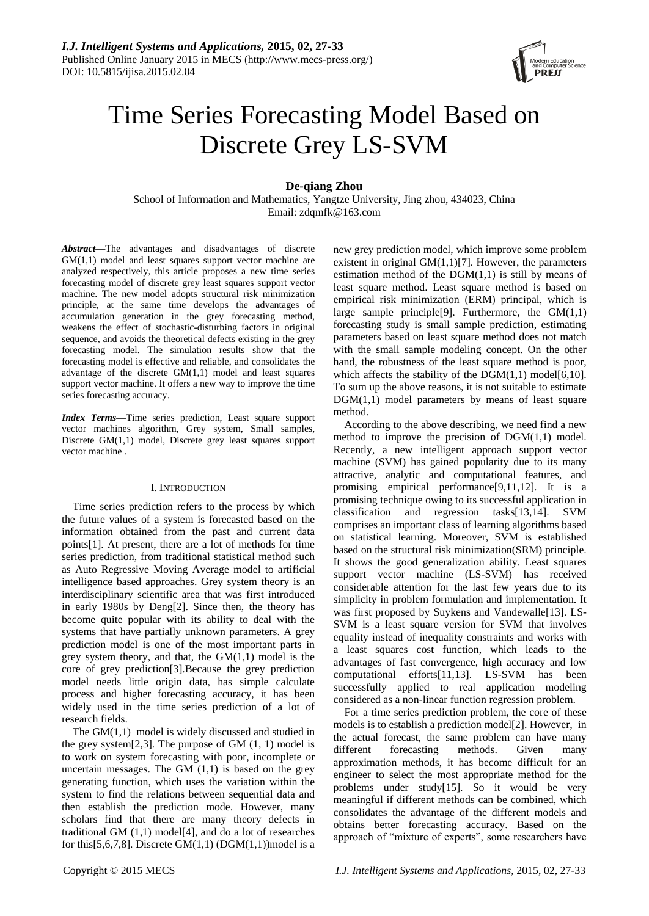

# Time Series Forecasting Model Based on Discrete Grey LS-SVM

**De-qiang Zhou**

School of Information and Mathematics, Yangtze University, Jing zhou, 434023, China Email: zdqmfk@163.com

*Abstract***—**The advantages and disadvantages of discrete GM(1,1) model and least squares support vector machine are analyzed respectively, this article proposes a new time series forecasting model of discrete grey least squares support vector machine. The new model adopts structural risk minimization principle, at the same time develops the advantages of accumulation generation in the grey forecasting method, weakens the effect of stochastic-disturbing factors in original sequence, and avoids the theoretical defects existing in the grey forecasting model. The simulation results show that the forecasting model is effective and reliable, and consolidates the advantage of the discrete GM(1,1) model and least squares support vector machine. It offers a new way to improve the time series forecasting accuracy.

*Index Terms***—**Time series prediction, Least square support vector machines algorithm, Grey system, Small samples, Discrete GM(1,1) model, Discrete grey least squares support vector machine .

# I. INTRODUCTION

Time series prediction refers to the process by which the future values of a system is forecasted based on the information obtained from the past and current data points[1]. At present, there are a lot of methods for time series prediction, from traditional statistical method such as Auto Regressive Moving Average model to artificial intelligence based approaches. Grey system theory is an interdisciplinary scientific area that was first introduced in early 1980s by Deng[2]. Since then, the theory has become quite popular with its ability to deal with the systems that have partially unknown parameters. A grey prediction model is one of the most important parts in grey system theory, and that, the  $GM(1,1)$  model is the core of grey prediction[3].Because the grey prediction model needs little origin data, has simple calculate process and higher forecasting accuracy, it has been widely used in the time series prediction of a lot of research fields.

The GM(1,1) model is widely discussed and studied in the grey system $[2,3]$ . The purpose of GM  $(1, 1)$  model is to work on system forecasting with poor, incomplete or uncertain messages. The GM  $(1,1)$  is based on the grey generating function, which uses the variation within the system to find the relations between sequential data and then establish the prediction mode. However, many scholars find that there are many theory defects in traditional GM  $(1,1)$  model<sup>[4]</sup>, and do a lot of researches for this[5,6,7,8]. Discrete  $GM(1,1)$  (DGM $(1,1)$ )model is a

new grey prediction model, which improve some problem existent in original  $GM(1,1)[7]$ . However, the parameters estimation method of the  $DGM(1,1)$  is still by means of least square method. Least square method is based on empirical risk minimization (ERM) principal, which is large sample principle[9]. Furthermore, the GM(1,1) forecasting study is small sample prediction, estimating parameters based on least square method does not match with the small sample modeling concept. On the other hand, the robustness of the least square method is poor, which affects the stability of the  $DGM(1,1) \text{ model}[6,10]$ . To sum up the above reasons, it is not suitable to estimate DGM(1,1) model parameters by means of least square method.

According to the above describing, we need find a new method to improve the precision of DGM(1,1) model. Recently, a new intelligent approach support vector machine (SVM) has gained popularity due to its many attractive, analytic and computational features, and promising empirical performance[9,11,12]. It is a promising technique owing to its successful application in classification and regression tasks[13,14]. SVM comprises an important class of learning algorithms based on statistical learning. Moreover, SVM is established based on the structural risk minimization(SRM) principle. It shows the good generalization ability. Least squares support vector machine (LS-SVM) has received considerable attention for the last few years due to its simplicity in problem formulation and implementation. It was first proposed by Suykens and Vandewalle[13]. LS-SVM is a least square version for SVM that involves equality instead of inequality constraints and works with a least squares cost function, which leads to the advantages of fast convergence, high accuracy and low computational efforts[11,13]. LS-SVM has been successfully applied to real application modeling considered as a non-linear function regression problem.

For a time series prediction problem, the core of these models is to establish a prediction model[2]. However, in the actual forecast, the same problem can have many different forecasting methods. Given many approximation methods, it has become difficult for an engineer to select the most appropriate method for the problems under study[15]. So it would be very meaningful if different methods can be combined, which consolidates the advantage of the different models and obtains better forecasting accuracy. Based on the approach of "mixture of experts", some researchers have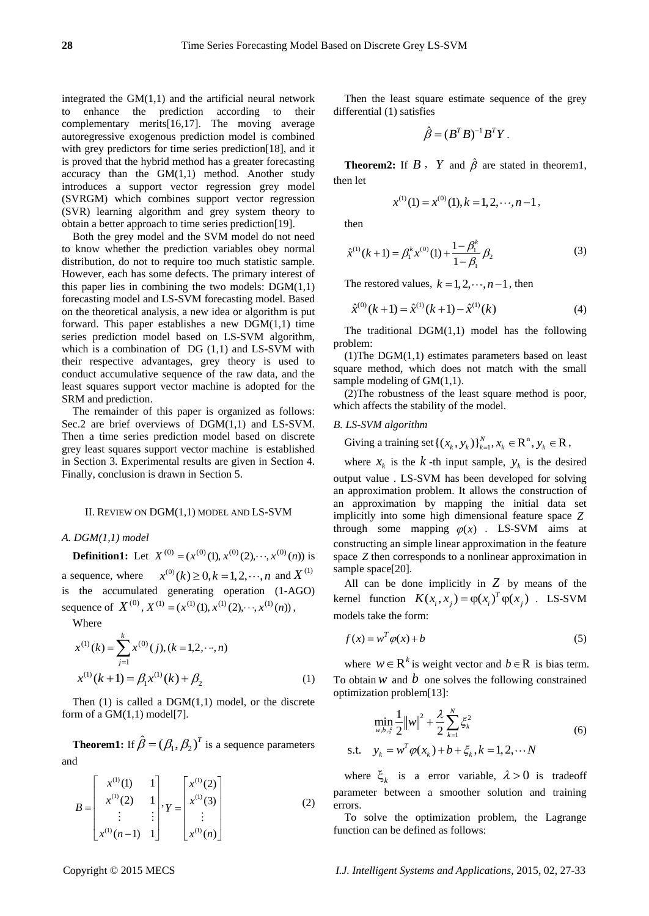integrated the  $GM(1,1)$  and the artificial neural network to enhance the prediction according to their complementary merits[16,17]. The moving average autoregressive exogenous prediction model is combined with grey predictors for time series prediction[18], and it is proved that the hybrid method has a greater forecasting accuracy than the GM(1,1) method. Another study introduces a support vector regression grey model (SVRGM) which combines support vector regression (SVR) learning algorithm and grey system theory to obtain a better approach to time series prediction[19].

Both the grey model and the SVM model do not need to know whether the prediction variables obey normal distribution, do not to require too much statistic sample. However, each has some defects. The primary interest of this paper lies in combining the two models:  $DGM(1,1)$ forecasting model and LS-SVM forecasting model. Based on the theoretical analysis, a new idea or algorithm is put forward. This paper establishes a new  $DGM(1,1)$  time series prediction model based on LS-SVM algorithm, which is a combination of  $DG(1,1)$  and  $LS-SVM$  with their respective advantages, grey theory is used to conduct accumulative sequence of the raw data, and the least squares support vector machine is adopted for the SRM and prediction.

The remainder of this paper is organized as follows: Sec.2 are brief overviews of  $DGM(1,1)$  and LS-SVM. Then a time series prediction model based on discrete grey least squares support vector machine is established in Section 3. Experimental results are given in Section 4. Finally, conclusion is drawn in Section 5.

### II. REVIEW ON DGM(1,1) MODEL AND LS-SVM

# *A. DGM(1,1) model*

**Definition1:** Let  $X^{(0)} = (x^{(0)}(1), x^{(0)}(2), \dots, x^{(0)}(n))$  is a sequence, where  $x^{(0)}(k) \ge 0, k = 1, 2, \dots, n$  and  $X^{(1)}$ is the accumulated generating operation (1-AGO) sequence of  $X^{(0)}, X^{(1)} = (x^{(1)}(1), x^{(1)}(2), \dots, x^{(1)}(n))$ ,

Where

$$
x^{(1)}(k) = \sum_{j=1}^{k} x^{(0)}(j), (k = 1, 2, \cdots, n)
$$

$$
x^{(1)}(k+1) = \beta_1 x^{(1)}(k) + \beta_2
$$
(1)

Then  $(1)$  is called a DGM $(1,1)$  model, or the discrete form of a  $GM(1,1)$  model[7].

**Theorem1:** If  $\hat{\beta} = (\beta_1, \beta_2)^T$  is a sequence parameters and

$$
B = \begin{bmatrix} x^{(1)}(1) & 1 \\ x^{(1)}(2) & 1 \\ \vdots & \vdots \\ x^{(1)}(n-1) & 1 \end{bmatrix}, Y = \begin{bmatrix} x^{(1)}(2) \\ x^{(1)}(3) \\ \vdots \\ x^{(1)}(n) \end{bmatrix}
$$
(2)

Then the least square estimate sequence of the grey differential (1) satisfies

$$
\hat{\beta} = (B^T B)^{-1} B^T Y.
$$

**Theorem2:** If  $\vec{B}$ ,  $\vec{Y}$  and  $\hat{\beta}$  are stated in theorem1, then let

$$
x^{(1)}(1) = x^{(0)}(1), k = 1, 2, \cdots, n-1,
$$

then

$$
\hat{x}^{(1)}(k+1) = \beta_1^k x^{(0)}(1) + \frac{1 - \beta_1^k}{1 - \beta_1} \beta_2
$$
\n(3)

The restored values,  $k = 1, 2, \dots, n-1$ , then

$$
\hat{x}^{(0)}(k+1) = \hat{x}^{(1)}(k+1) - \hat{x}^{(1)}(k)
$$
\n(4)

The traditional  $DGM(1,1)$  model has the following problem:

(1) The  $DGM(1,1)$  estimates parameters based on least square method, which does not match with the small sample modeling of GM(1,1).

(2)The robustness of the least square method is poor, which affects the stability of the model.

# *B. LS-SVM algorithm*

Giving a training set  $\{(x_k, y_k)\}_{k=1}^N, x_k \in \mathbb{R}^n, y_k \in \mathbb{R}$ ,

where  $x_k$  is the  $k$ -th input sample,  $y_k$  is the desired output value . LS-SVM has been developed for solving an approximation problem. It allows the construction of an approximation by mapping the initial data set implicitly into some high dimensional feature space *Z* through some mapping  $\varphi(x)$ . LS-SVM aims at constructing an simple linear approximation in the feature space *Z* then corresponds to a nonlinear approximation in sample space[20].

All can be done implicitly in  $Z$  by means of the kernel function  $K(x_i, x_j) = \varphi(x_i)^T \varphi(x_j)$ . LS-SVM models take the form:

$$
f(x) = w^T \varphi(x) + b \tag{5}
$$

where  $w \in \mathbb{R}^k$  is weight vector and  $b \in \mathbb{R}$  is bias term. To obtain  $w$  and  $b$  one solves the following constrained optimization problem[13]:

$$
\min_{w,b,\xi} \frac{1}{2} ||w||^2 + \frac{\lambda}{2} \sum_{k=1}^N \xi_k^2
$$
  
s.t.  $y_k = w^T \varphi(x_k) + b + \xi_k, k = 1, 2, \dots N$  (6)

where  $\xi_k$  is a error variable,  $\lambda > 0$  is tradeoff parameter between a smoother solution and training errors.

To solve the optimization problem, the Lagrange function can be defined as follows: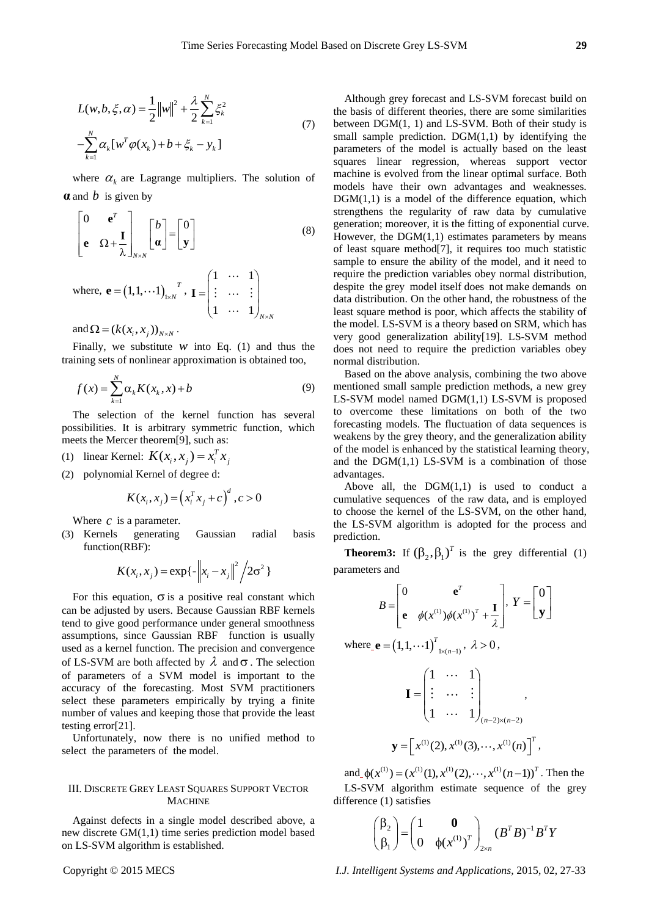$$
L(w, b, \xi, \alpha) = \frac{1}{2} ||w||^2 + \frac{\lambda}{2} \sum_{k=1}^{N} \xi_k^2
$$
  

$$
-\sum_{k=1}^{N} \alpha_k [w^T \varphi(x_k) + b + \xi_k - y_k]
$$
 (7)

where  $\alpha_k$  are Lagrange multipliers. The solution of **α** and *b* is given by

$$
\begin{bmatrix} 0 & \mathbf{e}^{T} \\ \mathbf{e} & \Omega + \frac{\mathbf{I}}{\lambda} \end{bmatrix}_{N \times N} \begin{bmatrix} b \\ \mathbf{a} \end{bmatrix} = \begin{bmatrix} 0 \\ \mathbf{y} \end{bmatrix}
$$
\nwhere,  $\mathbf{e} = (1, 1, \cdots 1)_{1 \times N}^{T}$ ,  $\mathbf{I} = \begin{pmatrix} 1 & \cdots & 1 \\ \vdots & \cdots & \vdots \\ 1 & \cdots & 1 \end{pmatrix}_{N \times N}$ 

and  $\Omega = (k(x_i, x_j))_{N \times N}$ .

Finally, we substitute  $w$  into Eq. (1) and thus the training sets of nonlinear approximation is obtained too,

$$
f(x) = \sum_{k=1}^{N} \alpha_k K(x_k, x) + b
$$
 (9)

The selection of the kernel function has several possibilities. It is arbitrary symmetric function, which meets the Mercer theorem[9], such as:

- (1) linear Kernel:  $K(x_i, x_j) = x_i^T x_j$
- (2) polynomial Kernel of degree d:

$$
K(x_i, x_j) = (x_i^T x_j + c)^d, c > 0
$$

Where  $c$  is a parameter.

(3) Kernels generating Gaussian radial basis function(RBF):

$$
K(x_i, x_j) = \exp\{-\left\|x_i - x_j\right\|^2 / 2\sigma^2\}
$$

For this equation,  $\sigma$  is a positive real constant which can be adjusted by users. Because Gaussian RBF kernels tend to give good performance under general smoothness assumptions, since Gaussian RBF function is usually used as a kernel function. The precision and convergence of LS-SVM are both affected by  $\lambda$  and  $\sigma$ . The selection of parameters of a SVM model is important to the accuracy of the forecasting. Most SVM practitioners select these parameters empirically by trying a finite number of values and keeping those that provide the least testing error[21].

Unfortunately, now there is no unified method to select the parameters of the model.

# III. DISCRETE GREY LEAST SQUARES SUPPORT VECTOR **MACHINE**

Against defects in a single model described above, a new discrete GM(1,1) time series prediction model based on LS-SVM algorithm is established.

Although grey forecast and LS-SVM forecast build on the basis of different theories, there are some similarities between DGM(1, 1) and LS-SVM. Both of their study is small sample prediction.  $DGM(1,1)$  by identifying the parameters of the model is actually based on the least squares linear regression, whereas support vector machine is evolved from the linear optimal surface. Both models have their own advantages and weaknesses.  $DGM(1,1)$  is a model of the difference equation, which strengthens the regularity of raw data by cumulative generation; moreover, it is the fitting of exponential curve. However, the  $DGM(1,1)$  estimates parameters by means of least square method[7], it requires too much statistic sample to ensure the ability of the model, and it need to require the prediction variables obey normal distribution, despite the grey model itself does not make demands on data distribution. On the other hand, the robustness of the least square method is poor, which affects the stability of the model. LS-SVM is a theory based on SRM, which has very good generalization ability[19]. LS-SVM method does not need to require the prediction variables obey normal distribution.

Based on the above analysis, combining the two above mentioned small sample prediction methods, a new grey LS-SVM model named DGM(1,1) LS-SVM is proposed to overcome these limitations on both of the two forecasting models. The fluctuation of data sequences is weakens by the grey theory, and the generalization ability of the model is enhanced by the statistical learning theory, and the  $DGM(1,1)$  LS-SVM is a combination of those advantages.

Above all, the  $DGM(1,1)$  is used to conduct a cumulative sequences of the raw data, and is employed to choose the kernel of the LS-SVM, on the other hand, the LS-SVM algorithm is adopted for the process and prediction.

**Theorem3:** If  $(\beta_2, \beta_1)^T$  is the grey differential (1) parameters and

$$
B = \begin{bmatrix} 0 & \mathbf{e}^T \\ \mathbf{e} & \phi(x^{(1)})\phi(x^{(1)})^T + \frac{\mathbf{I}}{\lambda} \end{bmatrix}, Y = \begin{bmatrix} 0 \\ \mathbf{y} \end{bmatrix}
$$
  

$$
E = (1, 1, \cdots 1)^T_{1 \times (n-1)}, \lambda > 0,
$$

$$
\left( 1, 1, 1, 1 \right)_{1 \times (n-1)}, \ldots
$$

where

$$
\mathbf{I} = \begin{pmatrix} 1 & \cdots & 1 \\ \vdots & \cdots & \vdots \\ 1 & \cdots & 1 \end{pmatrix}_{(n-2)\times(n-2)},
$$
  

$$
\mathbf{y} = \begin{bmatrix} x^{(1)}(2), x^{(1)}(3), \cdots, x^{(1)}(n) \end{bmatrix}^T,
$$

and  $\phi(x^{(1)}) = (x^{(1)}(1), x^{(1)}(2), \dots, x^{(1)}(n-1))^T$ . Then the LS-SVM algorithm estimate sequence of the grey difference (1) satisfies

$$
\begin{pmatrix} \beta_2 \\ \beta_1 \end{pmatrix} = \begin{pmatrix} 1 & \mathbf{0} \\ \mathbf{0} & \phi(\mathbf{x}^{(1)})^T \end{pmatrix}_{2 \times n} (\mathbf{B}^T \mathbf{B})^{-1} \mathbf{B}^T \mathbf{Y}
$$

Copyright © 2015 MECS *I.J. Intelligent Systems and Applications,* 2015, 02, 27-33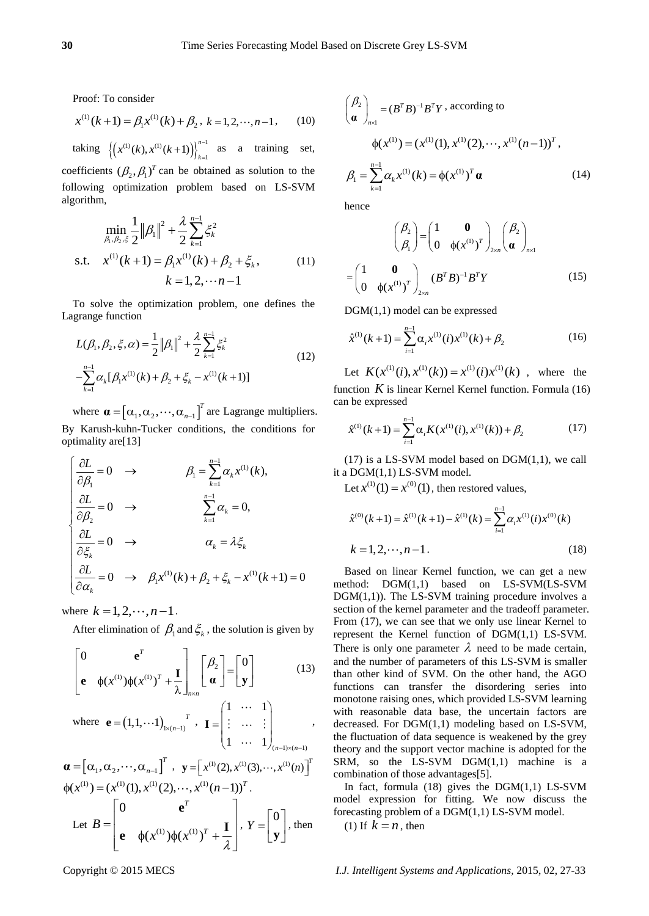Proof: To consider

$$
x^{(1)}(k+1) = \beta_1 x^{(1)}(k) + \beta_2, \ k = 1, 2, \cdots, n-1,
$$
 (10)

taking  $\left\{ \left( x^{(1)}(k), x^{(1)}(k+1) \right) \right\}_{k=1}^{n-1}$  $(k), x^{(1)}(k+1)\big)\bigg\}_{k=1}^{n-1}$  $x^{(1)}(k), x^{(1)}(k+1)$ ) $\Big\}_{k=0}^{n-1}$  $(+1)$ ) $\left\{\right\}_{k=1}^{n-1}$  as a training set,

coefficients  $(\beta_2, \beta_1)^T$  can be obtained as solution to the following optimization problem based on LS-SVM algorithm,

$$
\min_{\beta_1, \beta_2, \xi} \frac{1}{2} ||\beta_1||^2 + \frac{\lambda}{2} \sum_{k=1}^{n-1} \xi_k^2
$$
  
s.t. 
$$
x^{(1)}(k+1) = \beta_1 x^{(1)}(k) + \beta_2 + \xi_k,
$$

$$
k = 1, 2, \dots n-1
$$
 (11)

To solve the optimization problem, one defines the Lagrange function

$$
L(\beta_1, \beta_2, \xi, \alpha) = \frac{1}{2} ||\beta_1||^2 + \frac{\lambda}{2} \sum_{k=1}^{n-1} \xi_k^2
$$
  

$$
-\sum_{k=1}^{n-1} \alpha_k [\beta_1 x^{(1)}(k) + \beta_2 + \xi_k - x^{(1)}(k+1)]
$$
 (12)

where  $\boldsymbol{\alpha} = [\alpha_1, \alpha_2, \cdots, \alpha_{n-1}]^T$  are Lagrange multipliers. By Karush-kuhn-Tucker conditions, the conditions for optimality are[13]

Diffining are [13]

\n
$$
\begin{cases}\n\frac{\partial L}{\partial \beta_1} = 0 & \to \\
\frac{\partial L}{\partial \beta_2} = 0 & \to\n\end{cases}
$$
\n
$$
\begin{aligned}\n\beta_1 &= \sum_{k=1}^{n-1} \alpha_k x^{(1)}(k), \\
\frac{\partial L}{\partial \beta_2} = 0 & \to\n\end{aligned}
$$
\n
$$
\begin{aligned}\n\alpha_k &= \lambda \xi_k \\
\frac{\partial L}{\partial \alpha_k} = 0 & \to\n\end{aligned}
$$
\n
$$
\begin{aligned}\n\alpha_k &= \lambda \xi_k \\
\frac{\partial L}{\partial \alpha_k} = 0 & \to\n\end{aligned}
$$
\n
$$
\beta_1 x^{(1)}(k) + \beta_2 + \xi_k - x^{(1)}(k+1) = 0
$$

where  $k = 1, 2, \dots, n-1$ .

After elimination of  $\beta_1$  and  $\xi_k$ , the solution is given by

$$
\begin{bmatrix}\n0 & \mathbf{e}^T \\
\mathbf{e} & \phi(x^{(1)})\phi(x^{(1)})^T + \frac{\mathbf{I}}{\lambda}\n\end{bmatrix}_{n \times n} \begin{bmatrix}\n\beta_2 \\
\mathbf{\alpha}\n\end{bmatrix} = \begin{bmatrix}\n0 \\
\mathbf{y}\n\end{bmatrix} \tag{13}
$$

where 
$$
\mathbf{e} = (1, 1, \cdots 1)_{1 \times (n-1)}
$$
,  $\mathbf{I} = \begin{pmatrix} 1 & \cdots & 1 \\ \vdots & \cdots & \vdots \\ 1 & \cdots & 1 \end{pmatrix}_{(n-1) \times (n-1)}$ ,

$$
\mathbf{a} = [\alpha_1, \alpha_2, \cdots, \alpha_{n-1}]^T, \quad \mathbf{y} = [x^{(1)}(2), x^{(1)}(3), \cdots, x^{(1)}(n)]^T
$$

$$
\phi(x^{(1)}) = (x^{(1)}(1), x^{(1)}(2), \cdots, x^{(1)}(n-1))^T.
$$

$$
\text{Let } B = \begin{bmatrix} 0 & \mathbf{e}^T \\ \mathbf{e} & \phi(x^{(1)})\phi(x^{(1)})^T + \frac{\mathbf{I}}{\lambda} \end{bmatrix}, Y = \begin{bmatrix} 0 \\ \mathbf{y} \end{bmatrix}, \text{ then}
$$

$$
\begin{pmatrix} \beta_2 \\ \mathbf{a} \end{pmatrix}_{n \times 1} = (B^T B)^{-1} B^T Y
$$
, according to  
\n
$$
\phi(x^{(1)}) = (x^{(1)}(1), x^{(1)}(2), \dots, x^{(1)}(n-1))^T
$$
,  
\n
$$
\beta_1 = \sum_{k=1}^{n-1} \alpha_k x^{(1)}(k) = \phi(x^{(1)})^T \mathbf{a}
$$
\n(14)

hence

$$
\begin{pmatrix} \beta_2 \\ \beta_1 \end{pmatrix} = \begin{pmatrix} 1 & \mathbf{0} \\ 0 & \phi(x^{(1)})^T \end{pmatrix}_{2 \times n} \begin{pmatrix} \beta_2 \\ \mathbf{\alpha} \end{pmatrix}_{n \times 1}
$$

$$
= \begin{pmatrix} 1 & \mathbf{0} \\ 0 & \phi(x^{(1)})^T \end{pmatrix}_{2 \times n} (B^T B)^{-1} B^T Y \qquad (15)
$$

DGM(1,1) model can be expressed

$$
\hat{x}^{(1)}(k+1) = \sum_{i=1}^{n-1} \alpha_i x^{(1)}(i) x^{(1)}(k) + \beta_2
$$
\n(16)

Let  $K(x^{(1)}(i), x^{(1)}(k)) = x^{(1)}(i)x^{(1)}(k)$ , where the function  $K$  is linear Kernel Kernel function. Formula  $(16)$ can be expressed

$$
\hat{x}^{(1)}(k+1) = \sum_{i=1}^{n-1} \alpha_i K(x^{(1)}(i), x^{(1)}(k)) + \beta_2
$$
\n(17)

 $(17)$  is a LS-SVM model based on DGM $(1,1)$ , we call it a DGM(1,1) LS-SVM model.

Let  $x^{(1)}(1) = x^{(0)}(1)$ , then restored values,

$$
\hat{x}^{(0)}(k+1) = \hat{x}^{(1)}(k+1) - \hat{x}^{(1)}(k) = \sum_{i=1}^{n-1} \alpha_i x^{(1)}(i) x^{(0)}(k)
$$
  
\n
$$
k = 1, 2, \dots, n-1.
$$
 (18)

Based on linear Kernel function, we can get a new method: DGM(1,1) based on LS-SVM(LS-SVM  $DGM(1,1)$ ). The LS-SVM training procedure involves a section of the kernel parameter and the tradeoff parameter. From (17), we can see that we only use linear Kernel to represent the Kernel function of DGM(1,1) LS-SVM. There is only one parameter  $\lambda$  need to be made certain, and the number of parameters of this LS-SVM is smaller than other kind of SVM. On the other hand, the AGO functions can transfer the disordering series into monotone raising ones, which provided LS-SVM learning with reasonable data base, the uncertain factors are decreased. For DGM(1,1) modeling based on LS-SVM, the fluctuation of data sequence is weakened by the grey theory and the support vector machine is adopted for the SRM, so the LS-SVM  $DGM(1,1)$  machine is a combination of those advantages[5].

In fact, formula (18) gives the DGM(1,1) LS-SVM model expression for fitting. We now discuss the forecasting problem of a DGM(1,1) LS-SVM model.

(1) If  $k = n$ , then

Copyright © 2015 MECS *I.J. Intelligent Systems and Applications,* 2015, 02, 27-33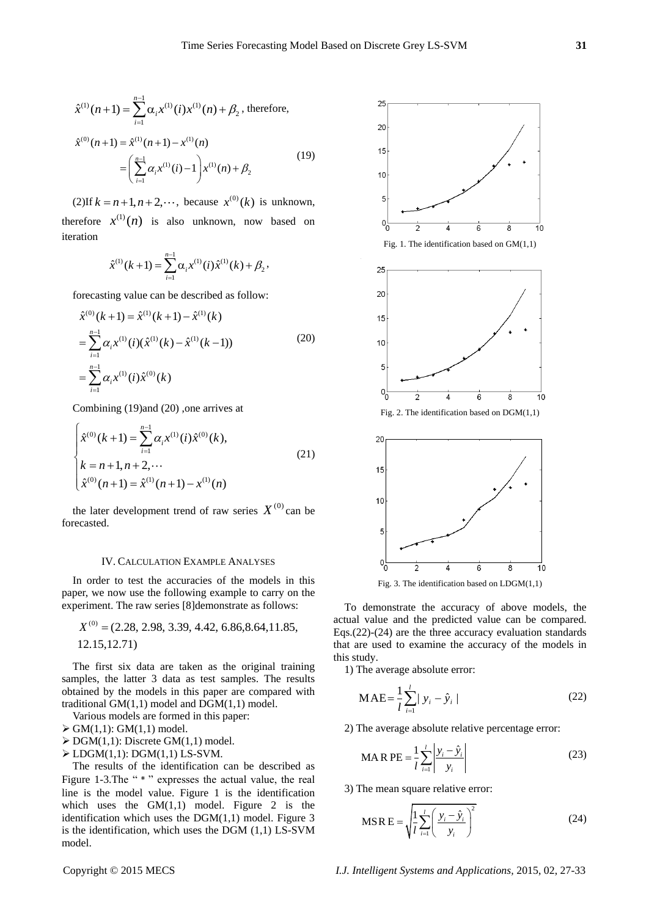$$
\hat{x}^{(1)}(n+1) = \sum_{i=1}^{n-1} \alpha_i x^{(1)}(i) x^{(1)}(n) + \beta_2, \text{ therefore,}
$$
  

$$
\hat{x}^{(0)}(n+1) = \hat{x}^{(1)}(n+1) - x^{(1)}(n)
$$

$$
= \left(\sum_{i=1}^{n-1} \alpha_i x^{(1)}(i) - 1\right) x^{(1)}(n) + \beta_2
$$
(19)

(2)If  $k = n + 1, n + 2, \dots$ , because  $x^{(0)}(k)$  is unknown, therefore  $x^{(1)}(n)$  is also unknown, now based on iteration

$$
\hat{x}^{(1)}(k+1) = \sum_{i=1}^{n-1} \alpha_i x^{(1)}(i) \hat{x}^{(1)}(k) + \beta_2,
$$

forecasting value can be described as follow:

$$
\hat{x}^{(0)}(k+1) = \hat{x}^{(1)}(k+1) - \hat{x}^{(1)}(k)
$$
\n
$$
= \sum_{i=1}^{n-1} \alpha_i x^{(1)}(i) (\hat{x}^{(1)}(k) - \hat{x}^{(1)}(k-1))
$$
\n
$$
= \sum_{i=1}^{n-1} \alpha_i x^{(1)}(i) \hat{x}^{(0)}(k)
$$
\n(20)

Combining (19)and (20) ,one arrives at

$$
\begin{cases}\n\hat{x}^{(0)}(k+1) = \sum_{i=1}^{n-1} \alpha_i x^{(1)}(i) \hat{x}^{(0)}(k), \\
k = n+1, n+2, \cdots \\
\hat{x}^{(0)}(n+1) = \hat{x}^{(1)}(n+1) - x^{(1)}(n)\n\end{cases}
$$
\n(21)

the later development trend of raw series  $X^{(0)}$  can be forecasted.

### IV. CALCULATION EXAMPLE ANALYSES

In order to test the accuracies of the models in this paper, we now use the following example to carry on the experiment. The raw series [8]demonstrate as follows:

$$
X^{(0)} = (2.28, 2.98, 3.39, 4.42, 6.86, 8.64, 11.85, 12.15, 12.71)
$$

The first six data are taken as the original training samples, the latter 3 data as test samples. The results obtained by the models in this paper are compared with traditional  $GM(1,1)$  model and  $DGM(1,1)$  model.

Various models are formed in this paper:

 $\triangleright$  GM(1,1): GM(1,1) model.

- $\triangleright$  DGM(1,1): Discrete GM(1,1) model.
- $\triangleright$  LDGM(1,1): DGM(1,1) LS-SVM.

The results of the identification can be described as Figure 1-3. The "  $*$ " expresses the actual value, the real line is the model value. Figure 1 is the identification which uses the  $GM(1,1)$  model. Figure 2 is the identification which uses the DGM(1,1) model. Figure 3 is the identification, which uses the DGM (1,1) LS-SVM model.



Fig. 3. The identification based on LDGM(1,1)

To demonstrate the accuracy of above models, the actual value and the predicted value can be compared. Eqs.(22)-(24) are the three accuracy evaluation standards that are used to examine the accuracy of the models in this study.

1) The average absolute error:

$$
MAE = \frac{1}{l} \sum_{i=1}^{l} |y_i - \hat{y}_i|
$$
 (22)

2) The average absolute relative percentage error:

$$
\text{MA R PE} = \frac{1}{l} \sum_{i=1}^{l} \left| \frac{y_i - \hat{y}_i}{y_i} \right| \tag{23}
$$

3) The mean square relative error:

$$
\text{MSR} \, \text{E} = \sqrt{\frac{1}{l} \sum_{i=1}^{l} \left( \frac{y_i - \hat{y}_i}{y_i} \right)^2}
$$
 (24)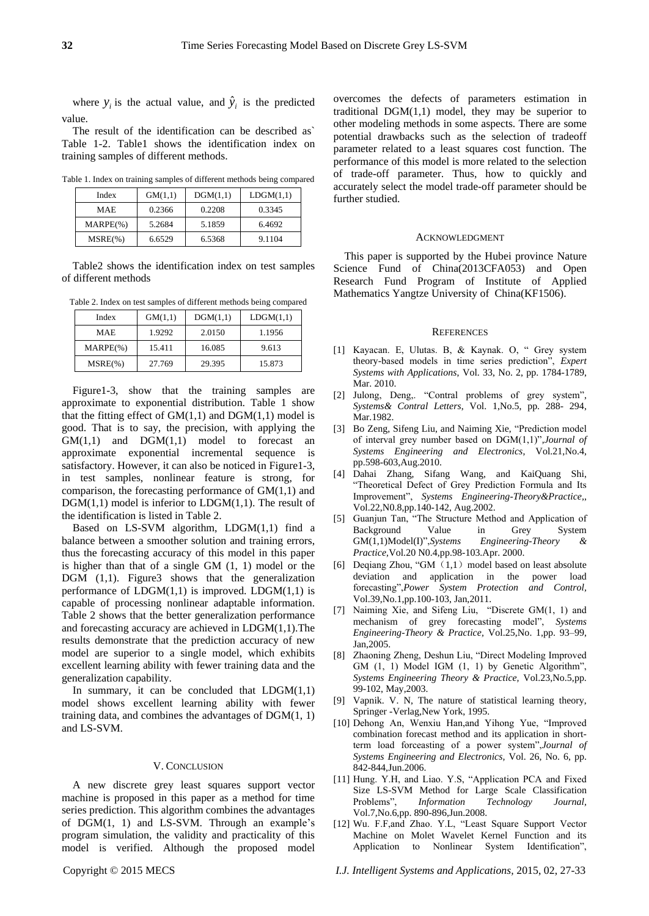where  $y_i$  is the actual value, and  $\hat{y}_i$  is the predicted value.

The result of the identification can be described as` Table 1-2. Table1 shows the identification index on training samples of different methods.

Table 1. Index on training samples of different methods being compared

| Index        | GM(1,1) | DGM(1,1) | LDGM(1,1) |
|--------------|---------|----------|-----------|
| <b>MAE</b>   | 0.2366  | 0.2208   | 0.3345    |
| $MARPE(\% )$ | 5.2684  | 5.1859   | 6.4692    |
| $MSRE(\% )$  | 6.6529  | 6.5368   | 9.1104    |

Table2 shows the identification index on test samples of different methods

Table 2. Index on test samples of different methods being compared

| Index        | GM(1,1) | DGM(1,1) | LDGM(1,1) |
|--------------|---------|----------|-----------|
| MAE          | 1.9292  | 2.0150   | 1.1956    |
| $MARPE(\% )$ | 15.411  | 16.085   | 9.613     |
| $MSRE(\% )$  | 27.769  | 29.395   | 15.873    |

Figure1-3, show that the training samples are approximate to exponential distribution. Table 1 show that the fitting effect of  $GM(1,1)$  and  $DGM(1,1)$  model is good. That is to say, the precision, with applying the  $GM(1,1)$  and  $DGM(1,1)$  model to forecast an approximate exponential incremental sequence is satisfactory. However, it can also be noticed in Figure1-3, in test samples, nonlinear feature is strong, for comparison, the forecasting performance of GM(1,1) and  $DGM(1,1)$  model is inferior to  $LDGM(1,1)$ . The result of the identification is listed in Table 2.

Based on LS-SVM algorithm, LDGM(1,1) find a balance between a smoother solution and training errors, thus the forecasting accuracy of this model in this paper is higher than that of a single GM (1, 1) model or the DGM (1,1). Figure3 shows that the generalization performance of  $LDGM(1,1)$  is improved.  $LDGM(1,1)$  is capable of processing nonlinear adaptable information. Table 2 shows that the better generalization performance and forecasting accuracy are achieved in LDGM(1,1).The results demonstrate that the prediction accuracy of new model are superior to a single model, which exhibits excellent learning ability with fewer training data and the generalization capability.

In summary, it can be concluded that  $LDGM(1,1)$ model shows excellent learning ability with fewer training data, and combines the advantages of  $DGM(1, 1)$ and LS-SVM.

# V. CONCLUSION

A new discrete grey least squares support vector machine is proposed in this paper as a method for time series prediction. This algorithm combines the advantages of DGM(1, 1) and LS-SVM. Through an example's program simulation, the validity and practicality of this model is verified. Although the proposed model

overcomes the defects of parameters estimation in traditional  $DGM(1,1)$  model, they may be superior to other modeling methods in some aspects. There are some potential drawbacks such as the selection of tradeoff parameter related to a least squares cost function. The performance of this model is more related to the selection of trade-off parameter. Thus, how to quickly and accurately select the model trade-off parameter should be further studied.

### ACKNOWLEDGMENT

This paper is supported by the Hubei province Nature Science Fund of China(2013CFA053) and Open Research Fund Program of Institute of Applied Mathematics Yangtze University of China(KF1506).

### **REFERENCES**

- [1] Kayacan. E, Ulutas. B, & Kaynak. O, " Grey system theory-based models in time series prediction", *Expert Systems with Applications*, Vol. 33, No. 2, pp. 1784-1789, Mar. 2010.
- [2] Julong, Deng,. "Contral problems of grey system", *Systems& Contral Letters*, Vol. 1,No.5, pp. 288- 294, Mar.1982.
- [3] Bo Zeng, Sifeng Liu, and Naiming Xie, "Prediction model of interval grey number based on DGM(1,1)",*Journal of Systems Engineering and Electronics*, Vol.21,No.4, pp.598-603,Aug.2010.
- [4] Dahai Zhang, Sifang Wang, and KaiQuang Shi, "Theoretical Defect of Grey Prediction Formula and Its Improvement", *Systems Engineering-Theory&Practice,*, Vol.22,N0.8,pp.140-142, Aug.2002.
- [5] Guanjun Tan, "The Structure Method and Application of Background Value in Grey System GM(1,1)Model(I)",*Systems Engineering-Theory & Practice,*Vol.20 N0.4,pp.98-103.Apr. 2000.
- [6] Deqiang Zhou, "GM $(1,1)$  model based on least absolute deviation and application in the power load forecasting",*Power System Protection and Control,*  Vol.39,No.1,pp.100-103, Jan,2011.
- [7] Naiming Xie, and Sifeng Liu, "Discrete GM(1, 1) and mechanism of grey forecasting model", *Systems Engineering-Theory & Practice,* Vol.25,No. 1,pp. 93–99, Jan,2005.
- [8] Zhaoning Zheng, Deshun Liu, "Direct Modeling Improved GM (1, 1) Model IGM (1, 1) by Genetic Algorithm", *Systems Engineering Theory & Practice,* Vol.23,No.5,pp. 99-102, May,2003.
- [9] Vapnik. V. N, The nature of statistical learning theory, Springer -Verlag,New York, 1995.
- [10] Dehong An, Wenxiu Han,and Yihong Yue, "Improved combination forecast method and its application in shortterm load forceasting of a power system",*Journal of Systems Engineering and Electronics,* Vol. 26, No. 6, pp. 842-844,Jun.2006.
- [11] Hung. Y.H, and Liao. Y.S, "Application PCA and Fixed Size LS-SVM Method for Large Scale Classification Problems", *Information Technology Journal,* Vol.7,No.6,pp. 890-896,Jun.2008.
- [12] Wu. F.F,and Zhao. Y.L, "Least Square Support Vector Machine on Molet Wavelet Kernel Function and its Application to Nonlinear System Identification",

Copyright © 2015 MECS *I.J. Intelligent Systems and Applications,* 2015, 02, 27-33